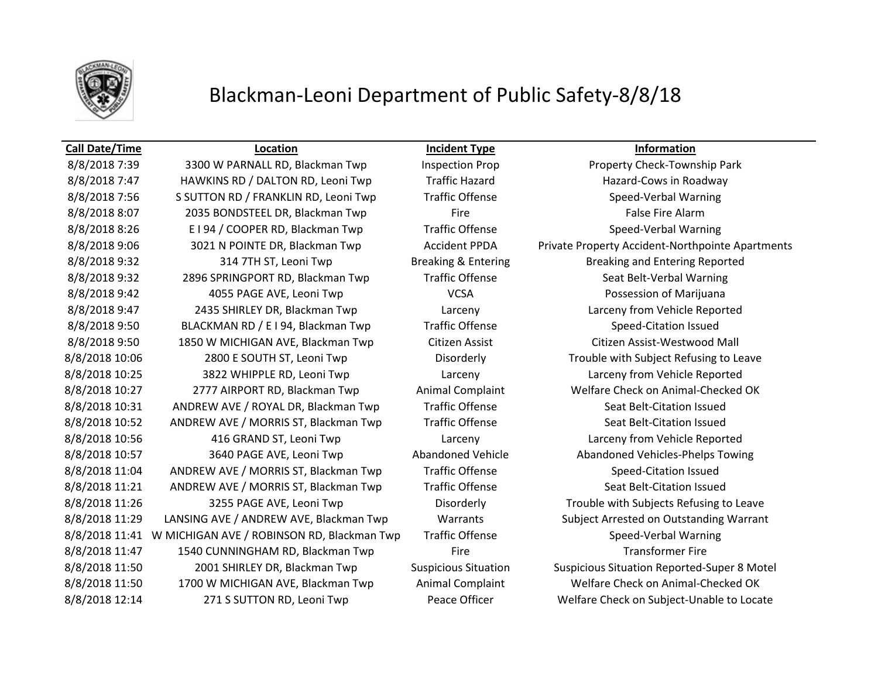

8/8/2018 7:39 3300 W PARNALL RD, Blackman Twp Inspection Prop Property Check-Township Park 8/8/2018 7:47 HAWKINS RD / DALTON RD, Leoni Twp Traffic Hazard Hazard Hazard-Cows in Roadway 8/8/2018 7:56 S SUTTON RD / FRANKLIN RD, Leoni Twp Traffic Offense Speed-Verbal Warning 8/8/2018 8:07 2035 BONDSTEEL DR, Blackman Twp Fire False Fire Alarm 8/8/2018 8:26 E I 94 / COOPER RD, Blackman Twp Traffic Offense Speed-Verbal Warning 8/8/2018 9:32 314 7TH ST, Leoni Twp Breaking & Entering Breaking and Entering Reported 8/8/2018 9:32 2896 SPRINGPORT RD, Blackman Twp Traffic Offense Seat Belt-Verbal Warning 8/8/2018 9:42 4055 PAGE AVE, Leoni Twp VCSA Possession of Marijuana 8/8/2018 9:47 2435 SHIRLEY DR, Blackman Twp Larceny Larceny from Vehicle Reported 8/8/2018 9:50 BLACKMAN RD / E I 94, Blackman Twp Traffic Offense Speed-Citation Issued 8/8/2018 9:50 1850 W MICHIGAN AVE, Blackman Twp Citizen Assist Citizen Assist-Westwood Mall 8/8/2018 10:06 2800 E SOUTH ST, Leoni Twp Disorderly Trouble with Subject Refusing to Leave 8/8/2018 10:25 3822 WHIPPLE RD, Leoni Twp Larceny Larceny from Vehicle Reported 8/8/2018 10:27 2777 AIRPORT RD, Blackman Twp Animal Complaint Welfare Check on Animal-Checked OK 8/8/2018 10:31 ANDREW AVE / ROYAL DR, Blackman Twp Traffic Offense Seat Belt-Citation Issued 8/8/2018 10:52 ANDREW AVE / MORRIS ST, Blackman Twp Traffic Offense Seat Belt-Citation Issued 8/8/2018 10:56 416 GRAND ST, Leoni Twp Larceny Larceny from Vehicle Reported 8/8/2018 10:57 3640 PAGE AVE, Leoni Twp Abandoned Vehicle Abandoned Vehicles-Phelps Towing 8/8/2018 11:04 ANDREW AVE / MORRIS ST, Blackman Twp Traffic Offense Speed-Citation Issued 8/8/2018 11:21 ANDREW AVE / MORRIS ST, Blackman Twp Traffic Offense Seat Belt-Citation Issued 8/8/2018 11:41 W MICHIGAN AVE / ROBINSON RD, Blackman Twp Traffic Offense Speed-Verbal Warning 8/8/2018 11:47 1540 CUNNINGHAM RD, Blackman Twp Fire Transformer Fire 8/8/2018 11:50 1700 W MICHIGAN AVE, Blackman Twp Animal Complaint Welfare Check on Animal-Checked OK

**Call Date/Time Location Incident Type Information**

8/8/2018 9:06 3021 N POINTE DR, Blackman Twp Accident PPDA Private Property Accident-Northpointe Apartments 8/8/2018 11:26 3255 PAGE AVE, Leoni Twp Disorderly Trouble with Subjects Refusing to Leave 8/8/2018 11:29 LANSING AVE / ANDREW AVE, Blackman Twp Warrants Subject Arrested on Outstanding Warrant 8/8/2018 11:50 2001 SHIRLEY DR, Blackman Twp Suspicious Situation Suspicious Situation Reported-Super 8 Motel 8/8/2018 12:14 271 S SUTTON RD, Leoni Twp Peace Officer Welfare Check on Subject-Unable to Locate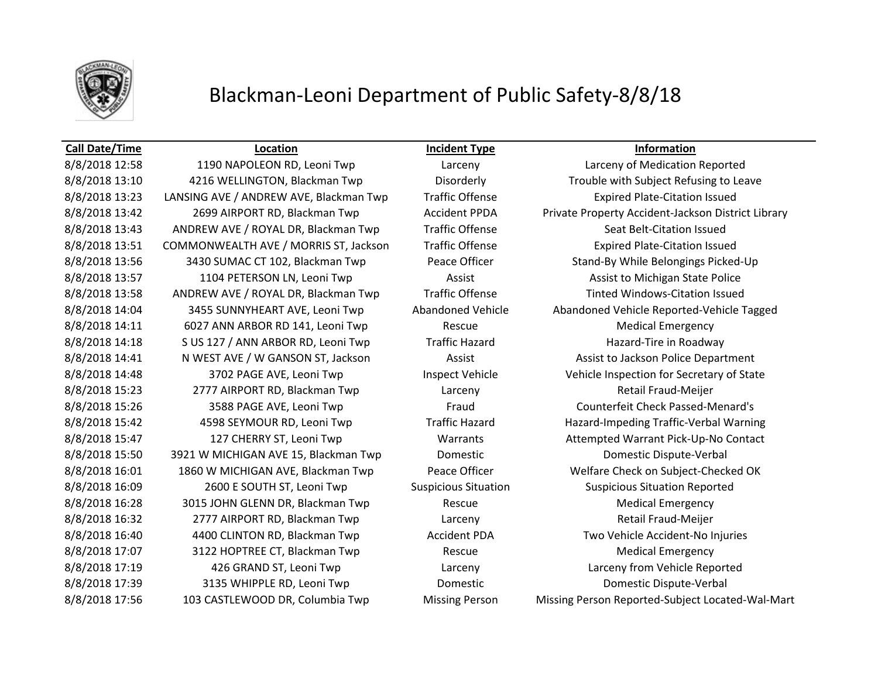

## **Call Date/Time Location Incident Type Information**

8/8/2018 13:23 LANSING AVE / ANDREW AVE, Blackman Twp Traffic Offense Expired Plate-Citation Issued 8/8/2018 13:43 ANDREW AVE / ROYAL DR, Blackman Twp Traffic Offense Seat Belt-Citation Issued 8/8/2018 13:51 COMMONWEALTH AVE / MORRIS ST, Jackson Traffic Offense Expired Plate-Citation Issued 8/8/2018 13:57 1104 PETERSON LN, Leoni Twp Assist Assist Assist Assist to Michigan State Police 8/8/2018 13:58 ANDREW AVE / ROYAL DR, Blackman Twp Traffic Offense Tinted Windows-Citation Issued 8/8/2018 14:11 6027 ANN ARBOR RD 141, Leoni Twp Rescue Rescue Medical Emergency 8/8/2018 14:18 S US 127 / ANN ARBOR RD, Leoni Twp Traffic Hazard Hazard Hazard-Tire in Roadway 8/8/2018 14:41 N WEST AVE / W GANSON ST, Jackson Assist Assist Assist to Jackson Police Department 8/8/2018 15:23 2777 AIRPORT RD, Blackman Twp Larceny Retail Fraud-Meijer 8/8/2018 15:26 3588 PAGE AVE, Leoni Twp Fraud Counterfeit Check Passed-Menard's 8/8/2018 15:50 3921 W MICHIGAN AVE 15, Blackman Twp Domestic Domestic Domestic Dispute-Verbal 8/8/2018 16:09 2600 E SOUTH ST, Leoni Twp Suspicious Situation Suspicious Situation Reported 8/8/2018 16:28 3015 JOHN GLENN DR, Blackman Twp Rescue Rescue Medical Emergency 8/8/2018 16:32 2777 AIRPORT RD, Blackman Twp Larceny Larceny Retail Fraud-Meijer 8/8/2018 16:40 4400 CLINTON RD, Blackman Twp Accident PDA Two Vehicle Accident-No Injuries 8/8/2018 17:07 3122 HOPTREE CT, Blackman Twp Rescue Rescue Medical Emergency 8/8/2018 17:19 426 GRAND ST, Leoni Twp Larceny Larceny from Vehicle Reported 8/8/2018 17:39 3135 WHIPPLE RD, Leoni Twp Domestic Domestic Domestic Dispute-Verbal 8/8/2018 17:56 103 CASTLEWOOD DR, Columbia Twp Missing Person Missing Person Reported-Subject Located-Wal-Mart

8/8/2018 12:58 1190 NAPOLEON RD, Leoni Twp Larceny Larceny of Medication Reported 8/8/2018 13:10 4216 WELLINGTON, Blackman Twp Disorderly Trouble with Subject Refusing to Leave 8/8/2018 13:42 2699 AIRPORT RD, Blackman Twp Accident PPDA Private Property Accident-Jackson District Library 8/8/2018 13:56 3430 SUMAC CT 102, Blackman Twp Peace Officer Stand-By While Belongings Picked-Up 8/8/2018 14:04 3455 SUNNYHEART AVE, Leoni Twp Abandoned Vehicle Abandoned Vehicle Reported-Vehicle Tagged 8/8/2018 14:48 3702 PAGE AVE, Leoni Twp Inspect Vehicle Vehicle Vehicle Inspection for Secretary of State 8/8/2018 15:42 4598 SEYMOUR RD, Leoni Twp Traffic Hazard Hazard-Impeding Traffic-Verbal Warning 8/8/2018 15:47 127 CHERRY ST, Leoni Twp Warrants Attempted Warrant Pick-Up-No Contact 8/8/2018 16:01 1860 W MICHIGAN AVE, Blackman Twp Peace Officer Welfare Check on Subject-Checked OK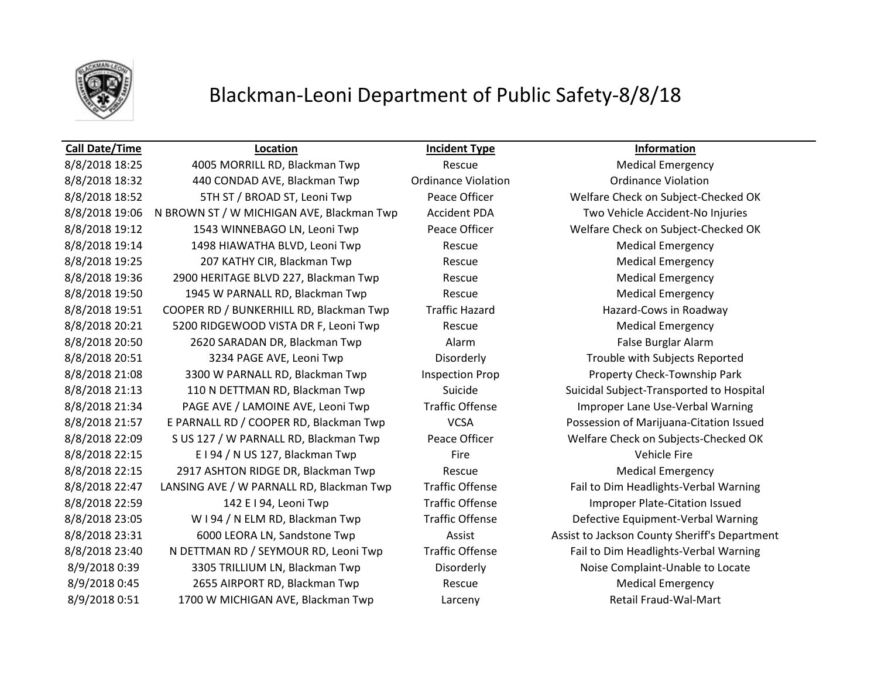

## **Call Date/Time Location Incident Type Information**

8/8/2018 18:25 4005 MORRILL RD, Blackman Twp Rescue Medical Emergency 8/8/2018 18:32 440 CONDAD AVE, Blackman Twp Ordinance Violation Ordinance Violation 8/8/2018 18:52 5TH ST / BROAD ST, Leoni Twp Peace Officer Welfare Check on Subject-Checked OK 8/8/2018 19:06 N BROWN ST / W MICHIGAN AVE, Blackman Twp Accident PDA Two Vehicle Accident-No Injuries 8/8/2018 19:12 1543 WINNEBAGO LN, Leoni Twp Peace Officer Welfare Check on Subject-Checked OK 8/8/2018 19:14 1498 HIAWATHA BLVD, Leoni Twp Rescue Rescue Medical Emergency 8/8/2018 19:25 207 KATHY CIR, Blackman Twp Rescue Rescue Medical Emergency 8/8/2018 19:36 2900 HERITAGE BLVD 227, Blackman Twp Rescue Medical Emergency 8/8/2018 19:50 1945 W PARNALL RD, Blackman Twp Rescue Rescue Medical Emergency 8/8/2018 19:51 COOPER RD / BUNKERHILL RD, Blackman Twp Traffic Hazard Trackman Two Traffic Hazard Hazard-Cows in Roadway 8/8/2018 20:21 5200 RIDGEWOOD VISTA DR F, Leoni Twp Rescue Medical Emergency 8/8/2018 20:50 2620 SARADAN DR, Blackman Twp 26 Alarm Alarm False Burglar Alarm 8/8/2018 20:51 3234 PAGE AVE, Leoni Twp Disorderly Trouble with Subjects Reported 8/8/2018 21:08 3300 W PARNALL RD, Blackman Twp Inspection Prop Property Check-Township Park 8/8/2018 21:13 110 N DETTMAN RD, Blackman Twp Suicide Suicide Suicidal Subject-Transported to Hospital 8/8/2018 21:34 PAGE AVE / LAMOINE AVE, Leoni Twp Traffic Offense Improper Lane Use-Verbal Warning 8/8/2018 21:57 E PARNALL RD / COOPER RD, Blackman Twp VCSA Possession of Marijuana-Citation Issued 8/8/2018 22:09 S US 127 / W PARNALL RD, Blackman Twp Peace Officer Welfare Check on Subjects-Checked OK 8/8/2018 22:15 E I 94 / N US 127, Blackman Twp Fire Fire Fire Vehicle Fire 8/8/2018 22:15 2917 ASHTON RIDGE DR, Blackman Twp Rescue Medical Emergency 8/8/2018 22:47 LANSING AVE / W PARNALL RD, Blackman Twp Traffic Offense Fail to Dim Headlights-Verbal Warning 8/8/2018 22:59 142 E I 94, Leoni Twp Traffic Offense Improper Plate-Citation Issued 8/8/2018 23:05 W I 94 / N ELM RD, Blackman Twp Traffic Offense Defective Equipment-Verbal Warning 8/8/2018 23:31 6000 LEORA LN, Sandstone Twp Assist Assist Assist to Jackson County Sheriff's Department 8/8/2018 23:40 N DETTMAN RD / SEYMOUR RD, Leoni Twp Traffic Offense Fail to Dim Headlights-Verbal Warning 8/9/2018 0:39 3305 TRILLIUM LN, Blackman Twp Disorderly Noise Complaint-Unable to Locate 8/9/2018 0:45 2655 AIRPORT RD, Blackman Twp Rescue Medical Emergency 8/9/2018 0:51 1700 W MICHIGAN AVE, Blackman Twp Larceny Larceny Retail Fraud-Wal-Mart